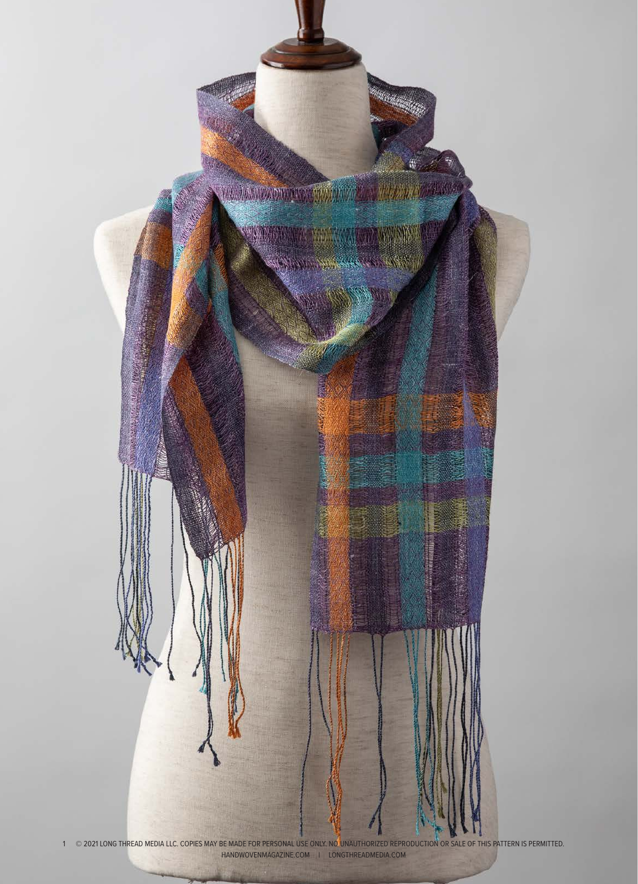

1 © 2021 LONG THREAD MEDIA LLC. COPIES MAY BE MADE FOR PERSONAL USE ONLY. NO UNAUTHORIZED REPRODUCTION OR SALE OF THIS PATTERN IS PERMITTED. [HANDWOVENMAGAZINE.COM](http://Handwovenmagazine.com) | [LONGTHREADMEDIA.COM](http://longthreadmedia.com)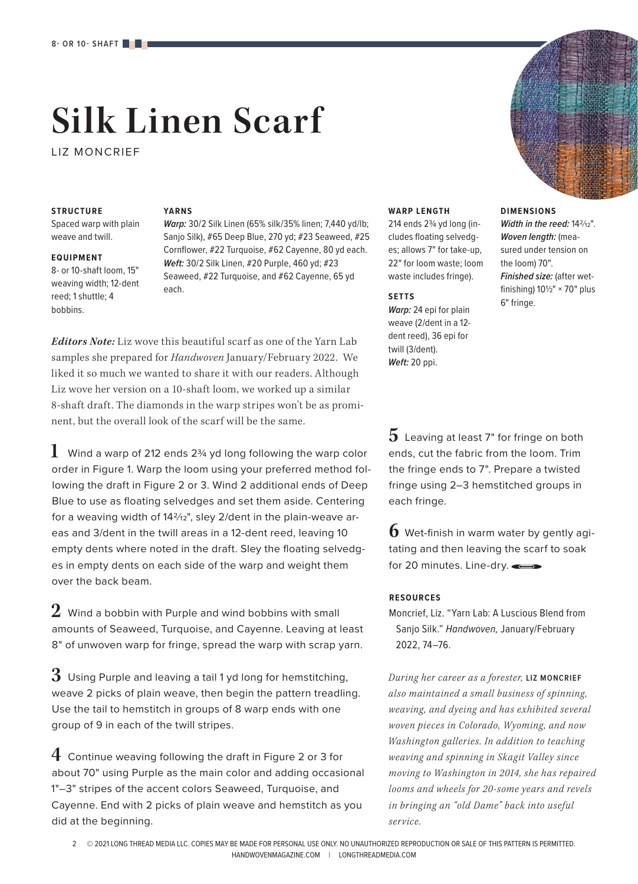# **Silk Linen Scarf**

LIZ MONCRIEF

## **STRUCTURE**

Spaced warp with plain weave and twill.

## **EQUIPMENT**

8- or 10-shaft loom, 15" weaving width; 12-dent reed; 1 shuttle; 4 bobbins.

#### **YARNS**

*Warp:* 30/2 Silk Linen (65% silk/35% linen; 7,440 yd/lb; Sanjo Silk), #65 Deep Blue, 270 yd; #23 Seaweed, #25 Cornflower, #22 Turquoise, #62 Cayenne, 80 yd each. *Weft:* 30/2 Silk Linen, #20 Purple, 460 yd; #23 Seaweed, #22 Turquoise, and #62 Cayenne, 65 yd each.

*Editors Note:* Liz wove this beautiful scarf as one of the Yarn Lab samples she prepared for *Handwoven* January/February 2022. We liked it so much we wanted to share it with our readers. Although Liz wove her version on a 10-shaft loom, we worked up a similar 8-shaft draft. The diamonds in the warp stripes won't be as prominent, but the overall look of the scarf will be the same.

**1** Wind a warp of 212 ends 2¾ yd long following the warp color order in Figure 1. Warp the loom using your preferred method following the draft in Figure 2 or 3. Wind 2 additional ends of Deep Blue to use as floating selvedges and set them aside. Centering for a weaving width of 14<sup>2</sup>/12", sley 2/dent in the plain-weave areas and 3/dent in the twill areas in a 12-dent reed, leaving 10 empty dents where noted in the draft. Sley the floating selvedges in empty dents on each side of the warp and weight them over the back beam.

 $\,2\,$  Wind a bobbin with Purple and wind bobbins with small amounts of Seaweed, Turquoise, and Cayenne. Leaving at least 8" of unwoven warp for fringe, spread the warp with scrap yarn.

 $\bf 3$  Using Purple and leaving a tail 1 yd long for hemstitching, weave 2 picks of plain weave, then begin the pattern treadling. Use the tail to hemstitch in groups of 8 warp ends with one group of 9 in each of the twill stripes.

**4** Continue weaving following the draft in Figure 2 or 3 for about 70" using Purple as the main color and adding occasional 1"–3" stripes of the accent colors Seaweed, Turquoise, and Cayenne. End with 2 picks of plain weave and hemstitch as you did at the beginning.

#### **WARP LENGTH**

214 ends 2¾ yd long (includes floating selvedges; allows 7" for take-up, 22" for loom waste; loom waste includes fringe).

#### **SETTS**

*Warp:* 24 epi for plain weave (2/dent in a 12 dent reed), 36 epi for twill (3/dent). *Weft:* 20 ppi.



*Width in the reed:* 142/12". *Woven length:* (measured under tension on the loom) 70". *Finished size:* (after wetfinishing)  $10\frac{1}{2}$ " × 70" plus 6" fringe.

 ${\bf 5}$  Leaving at least 7" for fringe on both ends, cut the fabric from the loom. Trim the fringe ends to 7". Prepare a twisted fringe using 2–3 hemstitched groups in each fringe.

**6** Wet-finish in warm water by gently agitating and then leaving the scarf to soak for 20 minutes. Line-dry.

## **RESOURCES**

Moncrief, Liz. "Yarn Lab: A Luscious Blend from Sanjo Silk." *Handwoven,* January/February 2022, 74–76.

*During her career as a forester,* **LIZ MONCRIEF** *also maintained a small business of spinning, weaving, and dyeing and has exhibited several woven pieces in Colorado, Wyoming, and now Washington galleries. In addition to teaching weaving and spinning in Skagit Valley since moving to Washington in 2014, she has repaired looms and wheels for 20-some years and revels in bringing an "old Dame" back into useful service.*